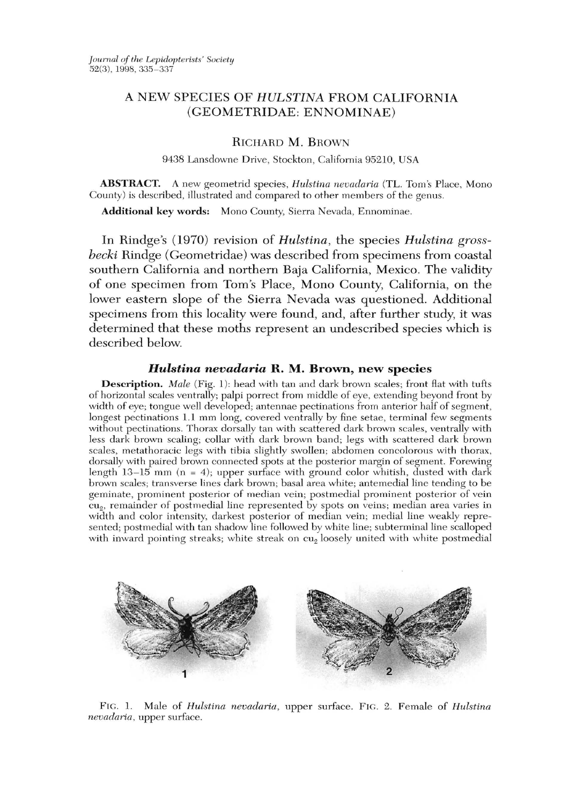# A NEW SPECIES OF HULSTINA FROM CALIFORNIA (GEOMETRIDAE: ENNOMINAE)

## RICHARD M. BROWN

9438 Lansdowne Drive, Stockton, California 95210, USA

ABSTRACT. A new geometrid species, *Hulstina nevadaria* (TL. Tom's Place, Mono County) is described, illustrated and compared to other members of the genus.

Additional key words: Mono County, Sierra Nevada, Ennominae.

In Rindge's (1970) revision of *Hulstina*, the species *Hulstina gross*becki Rindge (Geometridae) was described from specimens from coastal southern California and northern Baja California, Mexico. The validity of one specimen from Tom's Place, Mono County, California, on the lower eastern slope of the Sierra Nevada was questioned. Additional specimens from this locality were found, and, after further study, it was determined that these moths represent an undescribed species which is described below.

## *Hulstina nevadaria* R. M. Brown, new species

**Description.** *Male* (Fig. 1): head with tan and dark brown scales; front flat with tufts of horizontal scales ventrally; palpi porrect from middle of eye, extending beyond front by width of eye; tongue well developed; antennae pectinations from anterior half of segment, longest pectinations 1.1 mm long, covered ventrally by fine setae, terminal few segments without pectinations. Thorax dorsally tan with scattered dark brown scales, ventrally with less dark brown scaling; collar with dark brown band; legs with scattered dark brown scales, me tathoracic legs with tibia slightly swollen; abdomen concolorous with thorax, dorsally with paired brown connected spots at the posterior margin of segment. Forewing length 13-15 mm (n = 4); upper surface with ground *color* whitish, dusted with dark brown scales; transverse lines dark brown; basal area white; antemedial line tending to be geminate, prominent posterior of median vein; postmedial prominent posterior of vein cu<sub>2</sub>, remainder of postmedial line represented by spots on veins; median area varies in width and color intensity, darkest posterior of median vein; medial line weakly represented; postmedial with tan shadow line followed by white line; subterminal line scalloped with inward pointing streaks; white streak on cu<sub>2</sub> loosely united with white postmedial



FTG. 1. Male of *Hulstina nevada ria* , upper surface. Flc. 2. Female of *Hulstina nevadaria*, upper surface.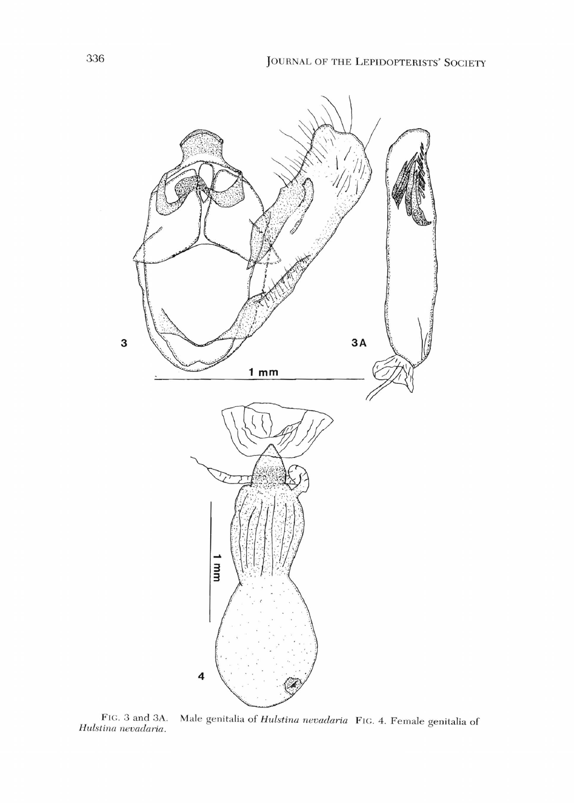

FIC. 3 and 3A. Male genitalia of *Hulstina nevadaria* FIG. 4. Female genitalia of FIG. 3 and 3A.<br>*Hulstina nevadaria*.